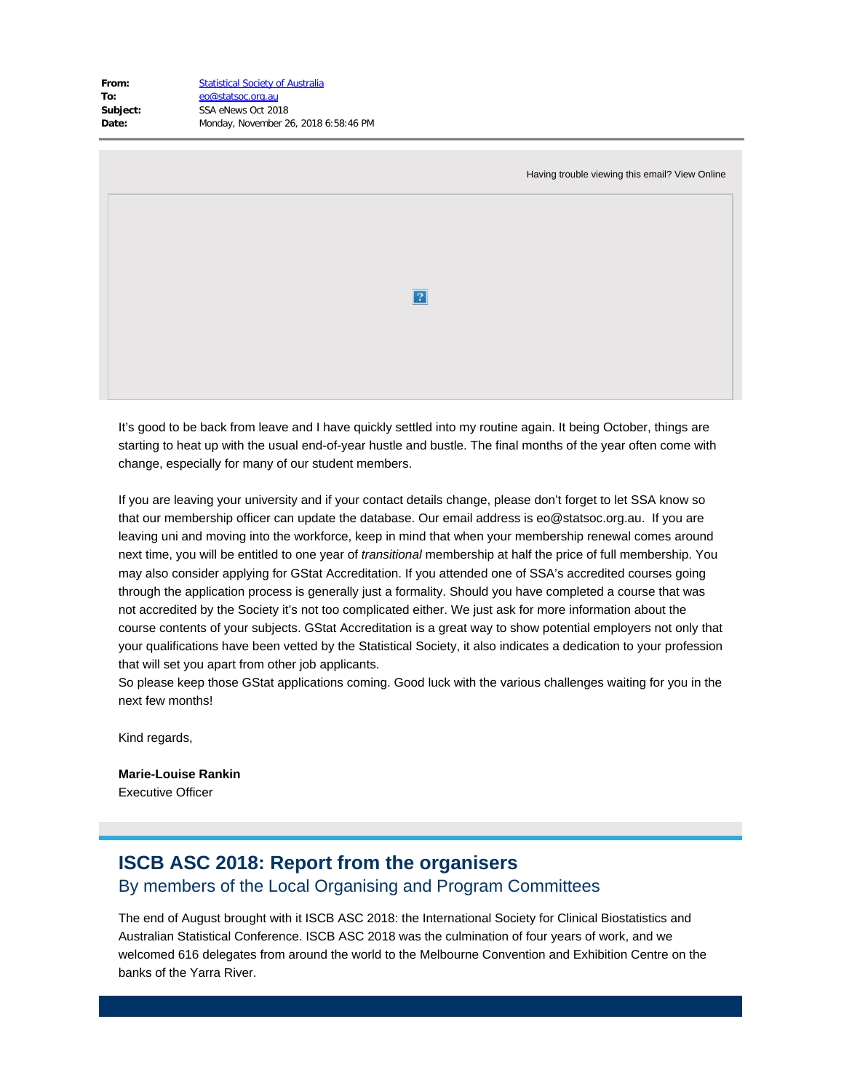| <b>Statistical Society of Australia</b> |
|-----------------------------------------|
| eo@statsoc.org.au                       |
| SSA eNews Oct 2018                      |
| Monday, November 26, 2018 6:58:46 PM    |
|                                         |

| Having trouble viewing this email? View Online |  |
|------------------------------------------------|--|
|                                                |  |
|                                                |  |
| $\overline{?}$                                 |  |
|                                                |  |
|                                                |  |

It's good to be back from leave and I have quickly settled into my routine again. It being October, things are starting to heat up with the usual end-of-year hustle and bustle. The final months of the year often come with change, especially for many of our student members.

If you are leaving your university and if your contact details change, please don't forget to let SSA know so that our membership officer can update the database. Our email address is eo@statsoc.org.au. If you are leaving uni and moving into the workforce, keep in mind that when your membership renewal comes around next time, you will be entitled to one year of *transitional* membership at half the price of full membership. You may also consider applying for GStat Accreditation. If you attended one of SSA's accredited courses going through the application process is generally just a formality. Should you have completed a course that was not accredited by the Society it's not too complicated either. We just ask for more information about the course contents of your subjects. GStat Accreditation is a great way to show potential employers not only that your qualifications have been vetted by the Statistical Society, it also indicates a dedication to your profession that will set you apart from other job applicants.

So please keep those GStat applications coming. Good luck with the various challenges waiting for you in the next few months!

Kind regards,

**Marie-Louise Rankin** Executive Officer

# **ISCB ASC 2018: Report from the organisers** By members of the Local Organising and Program Committees

The end of August brought with it ISCB ASC 2018: the International Society for Clinical Biostatistics and Australian Statistical Conference. ISCB ASC 2018 was the culmination of four years of work, and we welcomed 616 delegates from around the world to the Melbourne Convention and Exhibition Centre on the banks of the Yarra River.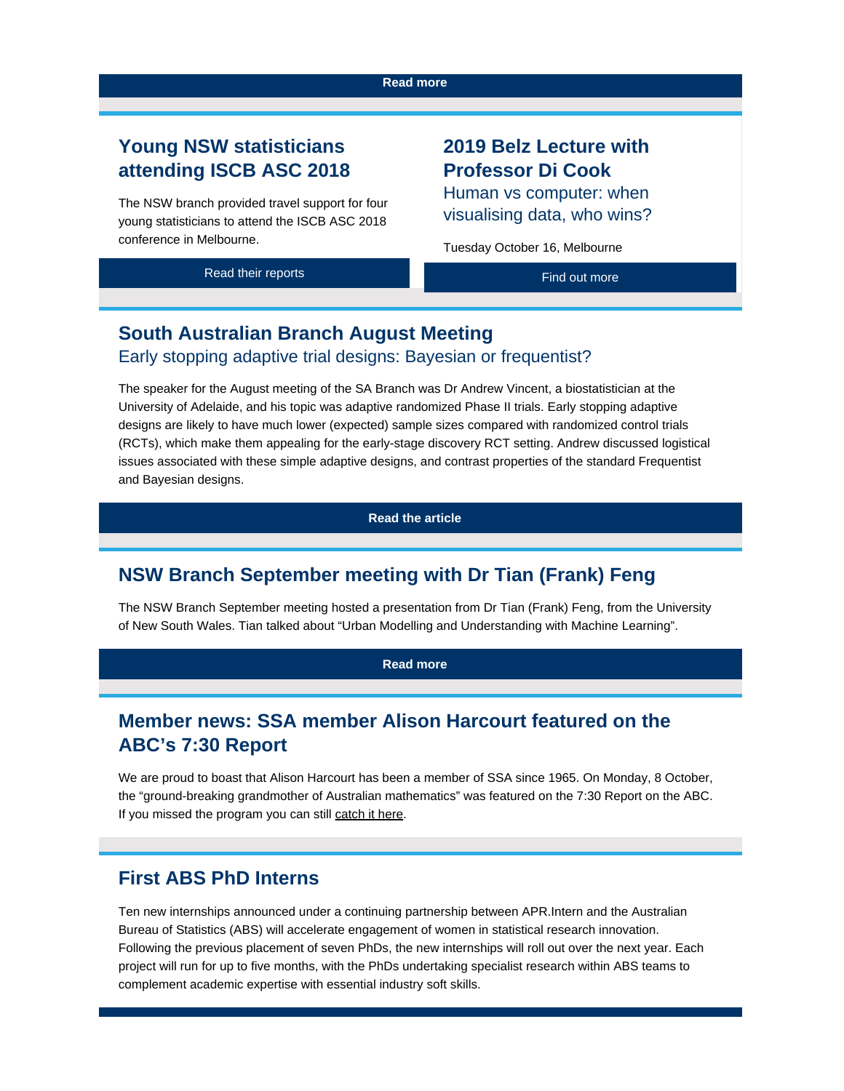#### **[Read more](https://www.vision6.com.au/ch/43209/1h0pq/2610875/BJHspCYfZHVSALpCTBC1F.mhLTtrydIs.gHxJ4M3-1.html)**

## **Young NSW statisticians attending ISCB ASC 2018**

The NSW branch provided travel support for four young statisticians to attend the ISCB ASC 2018 conference in Melbourne.

# **2019 Belz Lecture with Professor Di Cook**

Human vs computer: when visualising data, who wins?

Tuesday October 16, Melbourne

| Read their reports | Find out more |
|--------------------|---------------|
|                    |               |

# **South Australian Branch August Meeting**

#### Early stopping adaptive trial designs: Bayesian or frequentist?

The speaker for the August meeting of the SA Branch was Dr Andrew Vincent, a biostatistician at the University of Adelaide, and his topic was adaptive randomized Phase II trials. Early stopping adaptive designs are likely to have much lower (expected) sample sizes compared with randomized control trials (RCTs), which make them appealing for the early-stage discovery RCT setting. Andrew discussed logistical issues associated with these simple adaptive designs, and contrast properties of the standard Frequentist and Bayesian designs.

#### **[Read the article](https://www.vision6.com.au/ch/43209/1h0pq/2610878/BJHspCYfZHVSALpCTBC1CdyKaa0QjHVvTtl3zWgv-1.html)**

### **NSW Branch September meeting with Dr Tian (Frank) Feng**

The NSW Branch September meeting hosted a presentation from Dr Tian (Frank) Feng, from the University of New South Wales. Tian talked about "Urban Modelling and Understanding with Machine Learning".

**[Read more](https://www.vision6.com.au/ch/43209/1h0pq/2610879/BJHspCYfZHVSALpCTBC1pNeTkimLz3ZAM9bWX7ki-1.html)**

# **Member news: SSA member Alison Harcourt featured on the ABC's 7:30 Report**

We are proud to boast that Alison Harcourt has been a member of SSA since 1965. On Monday, 8 October, the "ground-breaking grandmother of Australian mathematics" was featured on the 7:30 Report on the ABC. If you missed the program you can still [catch it here](https://www.vision6.com.au/ch/43209/1h0pq/2610880/BJHspCYfZHVSALpCTBC1851dh8loYqkmSlETT6Ao.html).

#### **First ABS PhD Interns**

Ten new internships announced under a continuing partnership between APR.Intern and the Australian Bureau of Statistics (ABS) will accelerate engagement of women in statistical research innovation. Following the previous placement of seven PhDs, the new internships will roll out over the next year. Each project will run for up to five months, with the PhDs undertaking specialist research within ABS teams to complement academic expertise with essential industry soft skills.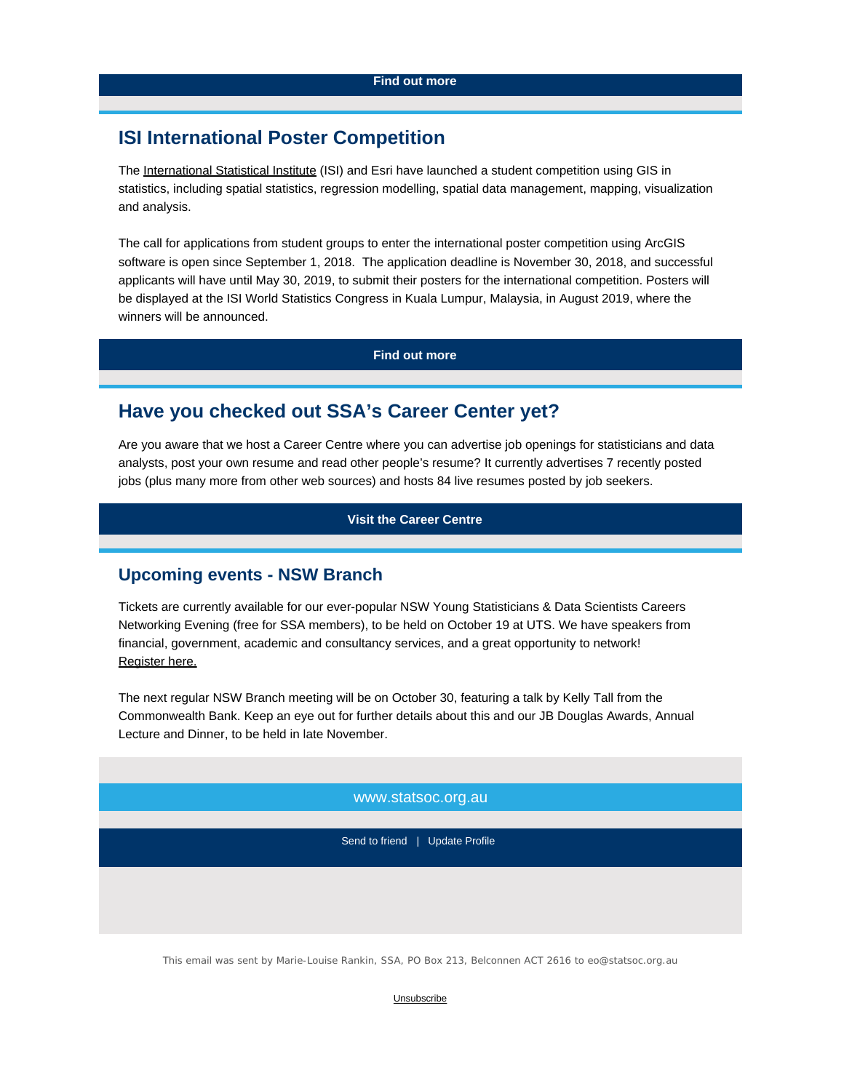### **ISI International Poster Competition**

The [International Statistical Institute](https://www.vision6.com.au/ch/43209/1h0pq/2610882/BJHspCYfZHVSALpCTBC15Zvs1gklIcggh02m78dg.html) (ISI) and [Esri](https://www.vision6.com.au/ch/43209/1h0pq/2610883/BJHspCYfZHVSALpCTBC1s0cc7kPhnKjEjNv0fUwN.html) have launched a student competition using GIS in statistics, including spatial statistics, regression modelling, spatial data management, mapping, visualization and analysis.

The call for applications from student groups to enter the international poster competition using ArcGIS software is open since September 1, 2018. The application deadline is November 30, 2018, and successful applicants will have until May 30, 2019, to submit their posters for the international competition. Posters will be displayed at the ISI World Statistics Congress in Kuala Lumpur, Malaysia, in August 2019, where the winners will be announced.

**[Find out more](https://www.vision6.com.au/ch/43209/1h0pq/2610884/BJHspCYfZHVSALpCTBC1WcR2Az9mgCeE7ZhIyqtV-1.html)**

### **Have you checked out SSA's Career Center yet?**

Are you aware that we host a Career Centre where you can advertise job openings for statisticians and data analysts, post your own resume and read other people's resume? It currently advertises 7 recently posted jobs (plus many more from other web sources) and hosts 84 live resumes posted by job seekers.

**[Visit the Career Centre](https://www.vision6.com.au/ch/43209/1h0pq/2610885/BJHspCYfZHVSALpCTBC1Yqv6LC2nuoa.CZGHycGM-1.html)**

#### **Upcoming events - NSW Branch**

Tickets are currently available for our ever-popular NSW Young Statisticians & Data Scientists Careers Networking Evening (free for SSA members), to be held on October 19 at UTS. We have speakers from financial, government, academic and consultancy services, and a great opportunity to network! [Register here.](https://www.vision6.com.au/ch/43209/1h0pq/2610886/BJHspCYfZHVSALpCTBC1mKWKEtPwJvmRCd.CulZX.html)

The next regular NSW Branch meeting will be on October 30, featuring a talk by Kelly Tall from the Commonwealth Bank. Keep an eye out for further details about this and our JB Douglas Awards, Annual Lecture and Dinner, to be held in late November.

www.statsoc.org.au

Send to friend | Update Profile

This email was sent by Marie-Louise Rankin, SSA, PO Box 213, Belconnen ACT 2616 to eo@statsoc.org.au

**[Unsubscribe](https://www.vision6.com.au/forms/u/_TbqMUu8BZXThCB9IvXRHWoPGcfwiQoIHrD3v-Z8avo/43209/1269776.html)**